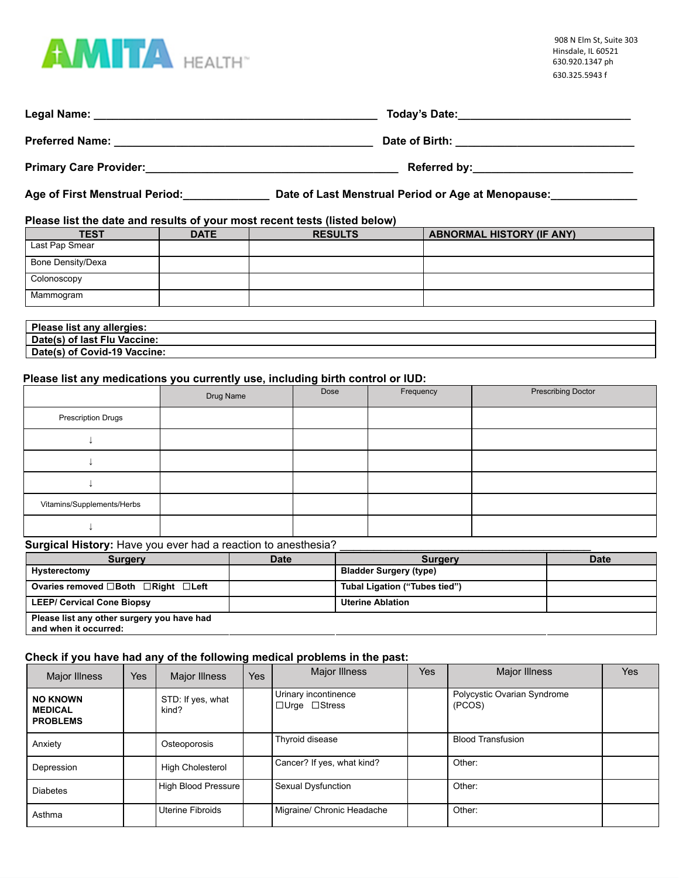

| Legal Name:<br><u> 1989 - Johann Stoff, amerikansk politiker (d. 1989)</u> | Today's Date: The Contract of the Contract of the Contract of the Contract of the Contract of the Contract of the Contract of the Contract of the Contract of the Contract of the Contract of the Contract of the Contract of |
|----------------------------------------------------------------------------|-------------------------------------------------------------------------------------------------------------------------------------------------------------------------------------------------------------------------------|
| <b>Preferred Name:</b>                                                     | Date of Birth: the contract of the contract of $\mathbf{B}$                                                                                                                                                                   |
| <b>Primary Care Provider:</b>                                              |                                                                                                                                                                                                                               |

**Age of First Menstrual Period:\_\_\_\_\_\_\_\_\_\_\_\_\_\_ Date of Last Menstrual Period or Age at Menopause:\_\_\_\_\_\_\_\_\_\_\_\_\_\_**

### **Please list the date and results of your most recent tests (listed below)**

| <b>TEST</b>       | <b>DATE</b> | <b>RESULTS</b> | <b>ABNORMAL HISTORY (IF ANY)</b> |
|-------------------|-------------|----------------|----------------------------------|
| Last Pap Smear    |             |                |                                  |
| Bone Density/Dexa |             |                |                                  |
| Colonoscopy       |             |                |                                  |
| Mammogram         |             |                |                                  |
|                   |             |                |                                  |

| Please list any allergies:      |  |
|---------------------------------|--|
| Date(s) of last Flu<br>Vaccine: |  |
| Date(s) of Covid-19 Vaccine:    |  |

# **Please list any medications you currently use, including birth control or IUD:**

|                            | Drug Name | Dose | Frequency | <b>Prescribing Doctor</b> |
|----------------------------|-----------|------|-----------|---------------------------|
| <b>Prescription Drugs</b>  |           |      |           |                           |
|                            |           |      |           |                           |
|                            |           |      |           |                           |
|                            |           |      |           |                           |
| Vitamins/Supplements/Herbs |           |      |           |                           |
|                            |           |      |           |                           |

# **Surgical History:** Have you ever had a reaction to anesthesia? \_\_\_\_\_\_\_\_\_\_\_\_\_\_\_\_\_\_

| <b>Surgery</b>                                                      | <b>Date</b> | <b>Surgery</b>                | <b>Date</b> |
|---------------------------------------------------------------------|-------------|-------------------------------|-------------|
| Hysterectomy                                                        |             | <b>Bladder Surgery (type)</b> |             |
| Ovaries removed □Both □Right □Left                                  |             | Tubal Ligation ("Tubes tied") |             |
| <b>LEEP/ Cervical Cone Biopsy</b>                                   |             | <b>Uterine Ablation</b>       |             |
| Please list any other surgery you have had<br>and when it occurred: |             |                               |             |

# **Check if you have had any of the following medical problems in the past:**

| Major Illness                                        | Yes | Major Illness              | Yes | Major Illness                                     | Yes | <b>Major Illness</b>                  | <b>Yes</b> |
|------------------------------------------------------|-----|----------------------------|-----|---------------------------------------------------|-----|---------------------------------------|------------|
| <b>NO KNOWN</b><br><b>MEDICAL</b><br><b>PROBLEMS</b> |     | STD: If yes, what<br>kind? |     | Urinary incontinence<br>$\Box$ Urge $\Box$ Stress |     | Polycystic Ovarian Syndrome<br>(PCOS) |            |
| Anxiety                                              |     | Osteoporosis               |     | Thyroid disease                                   |     | <b>Blood Transfusion</b>              |            |
| Depression                                           |     | <b>High Cholesterol</b>    |     | Cancer? If yes, what kind?                        |     | Other:                                |            |
| <b>Diabetes</b>                                      |     | High Blood Pressure        |     | Sexual Dysfunction                                |     | Other:                                |            |
| Asthma                                               |     | <b>Uterine Fibroids</b>    |     | Migraine/ Chronic Headache                        |     | Other:                                |            |